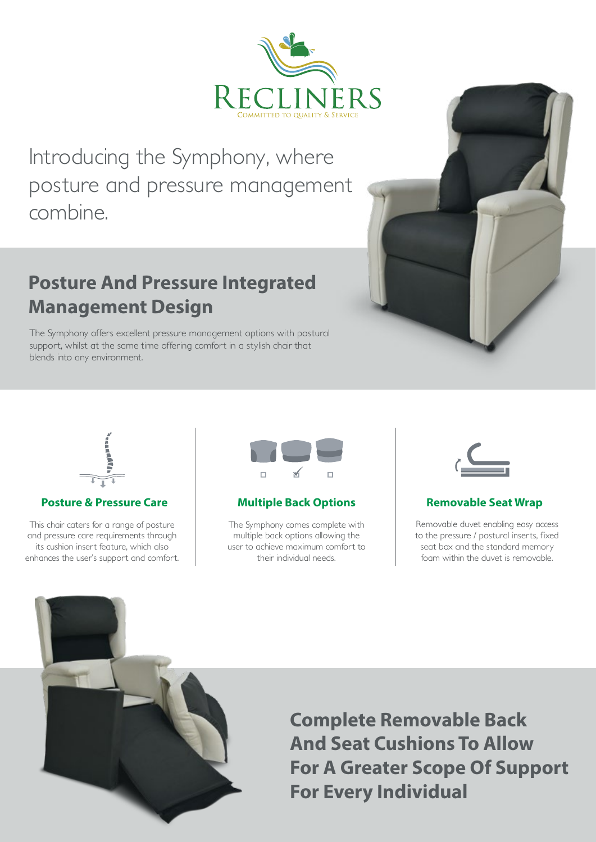

*Introducing the Symphony, where posture and pressure management combine.*

# **Posture And Pressure Integrated Management Design**

*The Symphony offers excellent pressure management options with postural support, whilst at the same time offering comfort in a stylish chair that blends into any environment.*



### **Posture & Pressure Care Multiple Back Options Removable Seat Wrap <b>Removable Seat Wrap**

*This chair caters for a range of posture and pressure care requirements through its cushion insert feature, which also enhances the user's support and comfort.*



*The Symphony comes complete with multiple back options allowing the user to achieve maximum comfort to their individual needs.*



*Removable duvet enabling easy access to the pressure / postural inserts, fixed seat box and the standard memory foam within the duvet is removable.*



**Complete Removable Back And Seat Cushions To Allow For A Greater Scope Of Support For Every Individual**